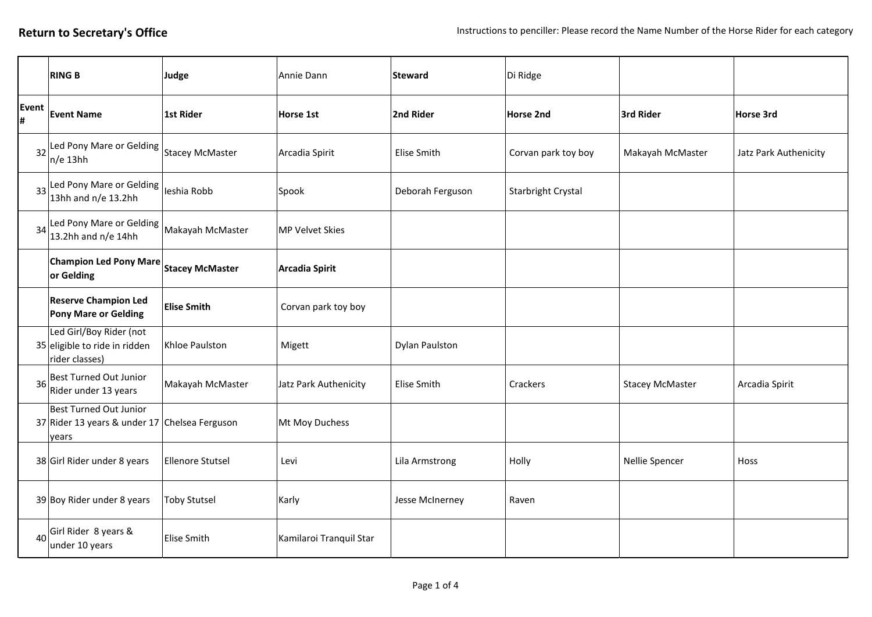|            | <b>RING B</b>                                                                           | Judge                   | Annie Dann              | <b>Steward</b>        | Di Ridge            |                        |                       |
|------------|-----------------------------------------------------------------------------------------|-------------------------|-------------------------|-----------------------|---------------------|------------------------|-----------------------|
| Event<br># | <b>Event Name</b>                                                                       | <b>1st Rider</b>        | Horse 1st               | 2nd Rider             | <b>Horse 2nd</b>    | 3rd Rider              | Horse 3rd             |
| 32         | Led Pony Mare or Gelding Stacey McMaster<br>$n/e$ 13hh                                  |                         | Arcadia Spirit          | Elise Smith           | Corvan park toy boy | Makayah McMaster       | Jatz Park Authenicity |
| 33         | Led Pony Mare or Gelding  <br>leshia Robb<br>13hh and n/e 13.2hh                        |                         | Spook                   | Deborah Ferguson      | Starbright Crystal  |                        |                       |
| 34         | Led Pony Mare or Gelding Makayah McMaster<br>13.2hh and n/e 14hh                        |                         | <b>MP Velvet Skies</b>  |                       |                     |                        |                       |
|            | Champion Led Pony Mare Stacey McMaster<br>or Gelding                                    |                         | <b>Arcadia Spirit</b>   |                       |                     |                        |                       |
|            | <b>Reserve Champion Led</b><br><b>Pony Mare or Gelding</b>                              | <b>Elise Smith</b>      | Corvan park toy boy     |                       |                     |                        |                       |
|            | Led Girl/Boy Rider (not<br>35 eligible to ride in ridden<br>rider classes)              | Khloe Paulston          | Migett                  | <b>Dylan Paulston</b> |                     |                        |                       |
| 36         | Best Turned Out Junior<br>Rider under 13 years                                          | Makayah McMaster        | Jatz Park Authenicity   | Elise Smith           | Crackers            | <b>Stacey McMaster</b> | Arcadia Spirit        |
|            | <b>Best Turned Out Junior</b><br>37 Rider 13 years & under 17 Chelsea Ferguson<br>years |                         | Mt Moy Duchess          |                       |                     |                        |                       |
|            | 38 Girl Rider under 8 years                                                             | <b>Ellenore Stutsel</b> | Levi                    | Lila Armstrong        | Holly               | Nellie Spencer         | Hoss                  |
|            | 39 Boy Rider under 8 years                                                              | <b>Toby Stutsel</b>     | Karly                   | Jesse McInerney       | Raven               |                        |                       |
| 40         | Girl Rider 8 years &<br>under 10 years                                                  | <b>Elise Smith</b>      | Kamilaroi Tranquil Star |                       |                     |                        |                       |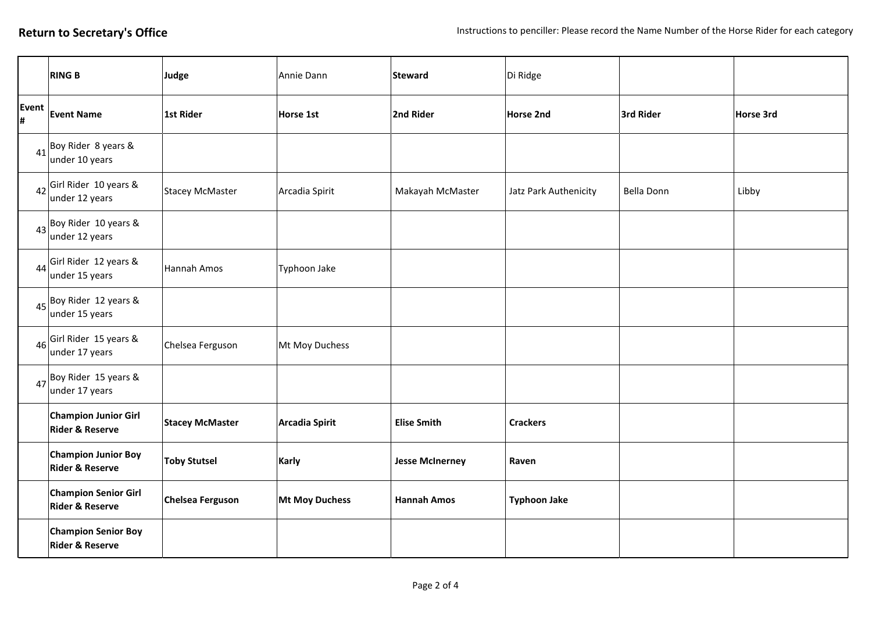|            | <b>RING B</b>                                               | Judge                   | Annie Dann            | <b>Steward</b>         | Di Ridge              |            |           |
|------------|-------------------------------------------------------------|-------------------------|-----------------------|------------------------|-----------------------|------------|-----------|
| Event<br># | <b>Event Name</b>                                           | 1st Rider               | Horse 1st             | 2nd Rider              | Horse 2nd             | 3rd Rider  | Horse 3rd |
|            | $41$ Boy Rider 8 years &<br>under 10 years                  |                         |                       |                        |                       |            |           |
|            | $42$ Girl Rider 10 years &<br>under 12 years                | <b>Stacey McMaster</b>  | Arcadia Spirit        | Makayah McMaster       | Jatz Park Authenicity | Bella Donn | Libby     |
|            | $43$ Boy Rider 10 years &<br>under 12 years                 |                         |                       |                        |                       |            |           |
|            | $44$ <sup>Girl Rider 12 years &amp;</sup><br>under 15 years | Hannah Amos             | Typhoon Jake          |                        |                       |            |           |
|            | $45$ Boy Rider 12 years &<br>under 15 years                 |                         |                       |                        |                       |            |           |
|            | $46$ Girl Rider 15 years &<br>under 17 years                | Chelsea Ferguson        | Mt Moy Duchess        |                        |                       |            |           |
|            | $47$ Boy Rider 15 years &<br>under 17 years                 |                         |                       |                        |                       |            |           |
|            | <b>Champion Junior Girl</b><br><b>Rider &amp; Reserve</b>   | <b>Stacey McMaster</b>  | <b>Arcadia Spirit</b> | <b>Elise Smith</b>     | <b>Crackers</b>       |            |           |
|            | <b>Champion Junior Boy</b><br><b>Rider &amp; Reserve</b>    | <b>Toby Stutsel</b>     | Karly                 | <b>Jesse McInerney</b> | Raven                 |            |           |
|            | <b>Champion Senior Girl</b><br><b>Rider &amp; Reserve</b>   | <b>Chelsea Ferguson</b> | <b>Mt Moy Duchess</b> | <b>Hannah Amos</b>     | <b>Typhoon Jake</b>   |            |           |
|            | <b>Champion Senior Boy</b><br><b>Rider &amp; Reserve</b>    |                         |                       |                        |                       |            |           |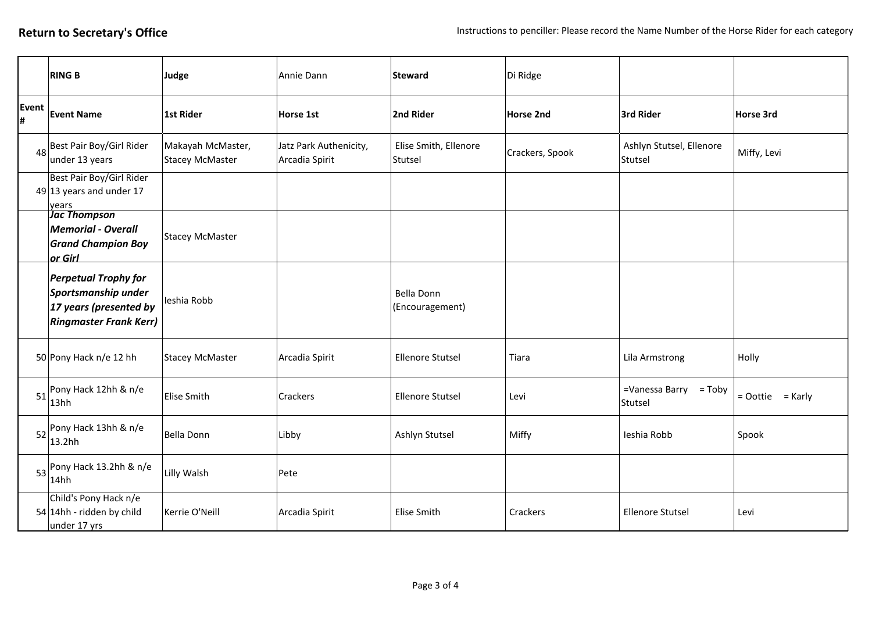|            | <b>RING B</b>                                                                                                 | Judge                                       | Annie Dann                               | <b>Steward</b>                   | Di Ridge         |                                     |                      |
|------------|---------------------------------------------------------------------------------------------------------------|---------------------------------------------|------------------------------------------|----------------------------------|------------------|-------------------------------------|----------------------|
| Event<br># | <b>Event Name</b>                                                                                             | 1st Rider                                   | Horse 1st                                | 2nd Rider                        | <b>Horse 2nd</b> | 3rd Rider                           | Horse 3rd            |
| 48         | Best Pair Boy/Girl Rider<br>under 13 years                                                                    | Makayah McMaster,<br><b>Stacey McMaster</b> | Jatz Park Authenicity,<br>Arcadia Spirit | Elise Smith, Ellenore<br>Stutsel | Crackers, Spook  | Ashlyn Stutsel, Ellenore<br>Stutsel | Miffy, Levi          |
|            | Best Pair Boy/Girl Rider<br>$49 13$ years and under 17<br>years                                               |                                             |                                          |                                  |                  |                                     |                      |
|            | <u>Jac Thompson</u><br><b>Memorial - Overall</b><br><b>Grand Champion Boy</b><br>or Girl                      | <b>Stacey McMaster</b>                      |                                          |                                  |                  |                                     |                      |
|            | <b>Perpetual Trophy for</b><br>Sportsmanship under<br>17 years (presented by<br><b>Ringmaster Frank Kerr)</b> | Ieshia Robb                                 |                                          | Bella Donn<br>(Encouragement)    |                  |                                     |                      |
|            | 50 Pony Hack n/e 12 hh                                                                                        | <b>Stacey McMaster</b>                      | Arcadia Spirit                           | <b>Ellenore Stutsel</b>          | Tiara            | Lila Armstrong                      | Holly                |
| 51         | Pony Hack 12hh & n/e<br>13hh                                                                                  | <b>Elise Smith</b>                          | <b>Crackers</b>                          | <b>Ellenore Stutsel</b>          | Levi             | $=$ Vanessa Barry = Toby<br>Stutsel | $=$ Oottie $=$ Karly |
| 52         | Pony Hack 13hh & n/e<br>13.2hh                                                                                | <b>Bella Donn</b>                           | Libby                                    | Ashlyn Stutsel                   | Miffy            | Ieshia Robb                         | Spook                |
|            | $53$ Pony Hack 13.2hh & n/e<br>14hh                                                                           | Lilly Walsh                                 | Pete                                     |                                  |                  |                                     |                      |
|            | Child's Pony Hack n/e<br>54 14hh - ridden by child<br>under 17 yrs                                            | Kerrie O'Neill                              | Arcadia Spirit                           | Elise Smith                      | Crackers         | <b>Ellenore Stutsel</b>             | Levi                 |